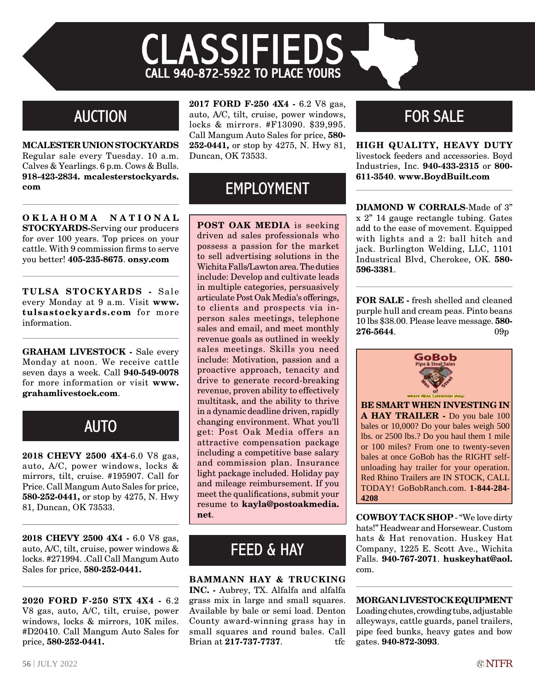# **CLASSIFIEDS CALL 940-872-5922 TO PLACE YOURS**

#### **AUCTION**

**Mcalester union stockyards**  Regular sale every Tuesday. 10 a.m. Calves & Yearlings. 6 p.m. Cows & Bulls. **918-423-2834. mcalesterstockyards. com**

**O k l a h o m a N a t i o n a l STOCKYARDS-Serving our producers** for over 100 years. Top prices on your cattle. With 9 commission firms to serve you better! **405-235-8675**. **onsy.com**

**TULSA Stockyards -** Sale every Monday at 9 a.m. Visit **www. tulsastockyards.com** for more information.

**GRAHAM LIVESTOCK -** Sale every Monday at noon. We receive cattle seven days a week. Call **940-549-0078** for more information or visit **www. grahamlivestock.com**.

## **AUTO**

**2018 Chevy 2500 4x4**-6.0 V8 gas, auto, A/C, power windows, locks & mirrors, tilt, cruise. #195907. Call for Price. Call Mangum Auto Sales for price, **580-252-0441,** or stop by 4275, N. Hwy 81, Duncan, OK 73533.

**2018 Chevy 2500 4x4 -** 6.0 V8 gas, auto, A/C, tilt, cruise, power windows & locks. #271994. .Call Call Mangum Auto Sales for price, **580-252-0441.**

**2020 Ford F-250 STX 4x4 -** 6.2 V8 gas, auto, A/C, tilt, cruise, power windows, locks & mirrors, 10K miles. #D20410. Call Mangum Auto Sales for price, **580-252-0441.**

**2017 Ford F-250 4x4 -** 6.2 V8 gas, auto, A/C, tilt, cruise, power windows, locks & mirrors. #F13090. \$39,995. Call Mangum Auto Sales for price, **580- 252-0441,** or stop by 4275, N. Hwy 81, Duncan, OK 73533.

#### EMPLOYMENT

**POST OAK MEDIA** is seeking driven ad sales professionals who possess a passion for the market to sell advertising solutions in the Wichita Falls/Lawton area. The duties include: Develop and cultivate leads in multiple categories, persuasively articulate Post Oak Media's offerings, to clients and prospects via inperson sales meetings, telephone sales and email, and meet monthly revenue goals as outlined in weekly sales meetings. Skills you need include: Motivation, passion and a proactive approach, tenacity and drive to generate record-breaking revenue, proven ability to effectively multitask, and the ability to thrive in a dynamic deadline driven, rapidly changing environment. What you'll get: Post Oak Media offers an attractive compensation package including a competitive base salary and commission plan. Insurance light package included. Holiday pay and mileage reimbursement. If you meet the qualifications, submit your resume to **kayla@postoakmedia. net. COWBOY TACK SHOP** - "We love dirty

## **FEED & HAY**

**bammann hay & trucking inc. -** Aubrey, TX. Alfalfa and alfalfa grass mix in large and small squares. Available by bale or semi load. Denton County award-winning grass hay in small squares and round bales. Call

Brian at **217-737-7737**. tfc

## for sale

**High quality, heavy duty** livestock feeders and accessories. Boyd Industries, Inc. **940-433-2315** or **800- 611-3540**. **www.BoydBuilt.com**

**DIAMOND W CORRALS-Made of 3"** x 2" 14 gauge rectangle tubing. Gates add to the ease of movement. Equipped with lights and a 2: ball hitch and jack. Burlington Welding, LLC, 1101 Industrical Blvd, Cherokee, OK. **580- 596-3381**.

**For sale -** fresh shelled and cleaned purple hull and cream peas. Pinto beans 10 lbs \$38.00. Please leave message. **580- 276-5644**. 09p



**BE SMART WHEN INVESTING IN A HAY TRAILER -** Do you bale 100 bales or 10,000? Do your bales weigh 500 lbs. or 2500 lbs.? Do you haul them 1 mile or 100 miles? From one to twenty-seven bales at once GoBob has the RIGHT selfunloading hay trailer for your operation. Red Rhino Trailers are IN STOCK, CALL TODAY! GoBobRanch.com. **1-844-284- 4208**

hats!" Headwear and Horsewear. Custom hats & Hat renovation. Huskey Hat Company, 1225 E. Scott Ave., Wichita Falls. **940-767-2071**. **huskeyhat@aol.** com.

**Morgan Livestock Equipment**  Loading chutes, crowding tubs, adjustable alleyways, cattle guards, panel trailers, pipe feed bunks, heavy gates and bow gates. **940-872-3093**.